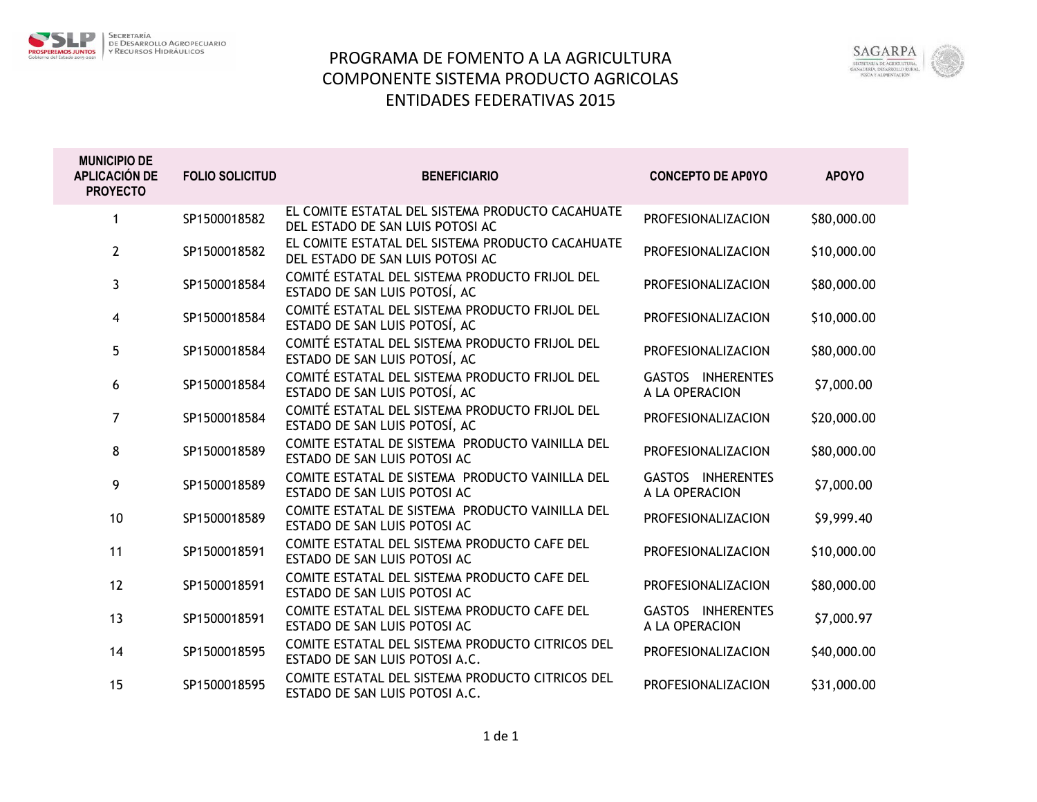

## PROGRAMA DE FOMENTO A LA AGRICULTURA COMPONENTE SISTEMA PRODUCTO AGRICOLAS ENTIDADES FEDERATIVAS 2015



| <b>MUNICIPIO DE</b><br><b>APLICACIÓN DE</b><br><b>PROYECTO</b> | <b>FOLIO SOLICITUD</b> | <b>BENEFICIARIO</b>                                                                  | <b>CONCEPTO DE AP0YO</b>            | <b>APOYO</b> |
|----------------------------------------------------------------|------------------------|--------------------------------------------------------------------------------------|-------------------------------------|--------------|
| 1                                                              | SP1500018582           | EL COMITE ESTATAL DEL SISTEMA PRODUCTO CACAHUATE<br>DEL ESTADO DE SAN LUIS POTOSI AC | PROFESIONALIZACION                  | \$80,000.00  |
| $\mathbf{2}$                                                   | SP1500018582           | EL COMITE ESTATAL DEL SISTEMA PRODUCTO CACAHUATE<br>DEL ESTADO DE SAN LUIS POTOSI AC | PROFESIONALIZACION                  | \$10,000.00  |
| 3                                                              | SP1500018584           | COMITÉ ESTATAL DEL SISTEMA PRODUCTO FRIJOL DEL<br>ESTADO DE SAN LUIS POTOSÍ, AC      | PROFESIONALIZACION                  | \$80,000.00  |
| 4                                                              | SP1500018584           | COMITÉ ESTATAL DEL SISTEMA PRODUCTO FRIJOL DEL<br>ESTADO DE SAN LUIS POTOSÍ, AC      | PROFESIONALIZACION                  | \$10,000.00  |
| 5                                                              | SP1500018584           | COMITÉ ESTATAL DEL SISTEMA PRODUCTO FRIJOL DEL<br>ESTADO DE SAN LUIS POTOSÍ, AC      | PROFESIONALIZACION                  | \$80,000.00  |
| 6                                                              | SP1500018584           | COMITÉ ESTATAL DEL SISTEMA PRODUCTO FRIJOL DEL<br>ESTADO DE SAN LUIS POTOSÍ, AC      | GASTOS INHERENTES<br>A LA OPERACION | \$7,000.00   |
| 7                                                              | SP1500018584           | COMITÉ ESTATAL DEL SISTEMA PRODUCTO FRIJOL DEL<br>ESTADO DE SAN LUIS POTOSÍ, AC      | PROFESIONALIZACION                  | \$20,000.00  |
| 8                                                              | SP1500018589           | COMITE ESTATAL DE SISTEMA PRODUCTO VAINILLA DEL<br>ESTADO DE SAN LUIS POTOSI AC      | PROFESIONALIZACION                  | \$80,000.00  |
| 9                                                              | SP1500018589           | COMITE ESTATAL DE SISTEMA PRODUCTO VAINILLA DEL<br>ESTADO DE SAN LUIS POTOSI AC      | GASTOS INHERENTES<br>A LA OPERACION | \$7,000.00   |
| 10                                                             | SP1500018589           | COMITE ESTATAL DE SISTEMA PRODUCTO VAINILLA DEL<br>ESTADO DE SAN LUIS POTOSI AC      | PROFESIONALIZACION                  | \$9,999.40   |
| 11                                                             | SP1500018591           | COMITE ESTATAL DEL SISTEMA PRODUCTO CAFE DEL<br>ESTADO DE SAN LUIS POTOSI AC         | PROFESIONALIZACION                  | \$10,000.00  |
| 12                                                             | SP1500018591           | COMITE ESTATAL DEL SISTEMA PRODUCTO CAFE DEL<br>ESTADO DE SAN LUIS POTOSI AC         | PROFESIONALIZACION                  | \$80,000.00  |
| 13                                                             | SP1500018591           | COMITE ESTATAL DEL SISTEMA PRODUCTO CAFE DEL<br>ESTADO DE SAN LUIS POTOSI AC         | GASTOS INHERENTES<br>A LA OPERACION | \$7,000.97   |
| 14                                                             | SP1500018595           | COMITE ESTATAL DEL SISTEMA PRODUCTO CITRICOS DEL<br>ESTADO DE SAN LUIS POTOSI A.C.   | PROFESIONALIZACION                  | \$40,000.00  |
| 15                                                             | SP1500018595           | COMITE ESTATAL DEL SISTEMA PRODUCTO CITRICOS DEL<br>ESTADO DE SAN LUIS POTOSI A.C.   | PROFESIONALIZACION                  | \$31,000.00  |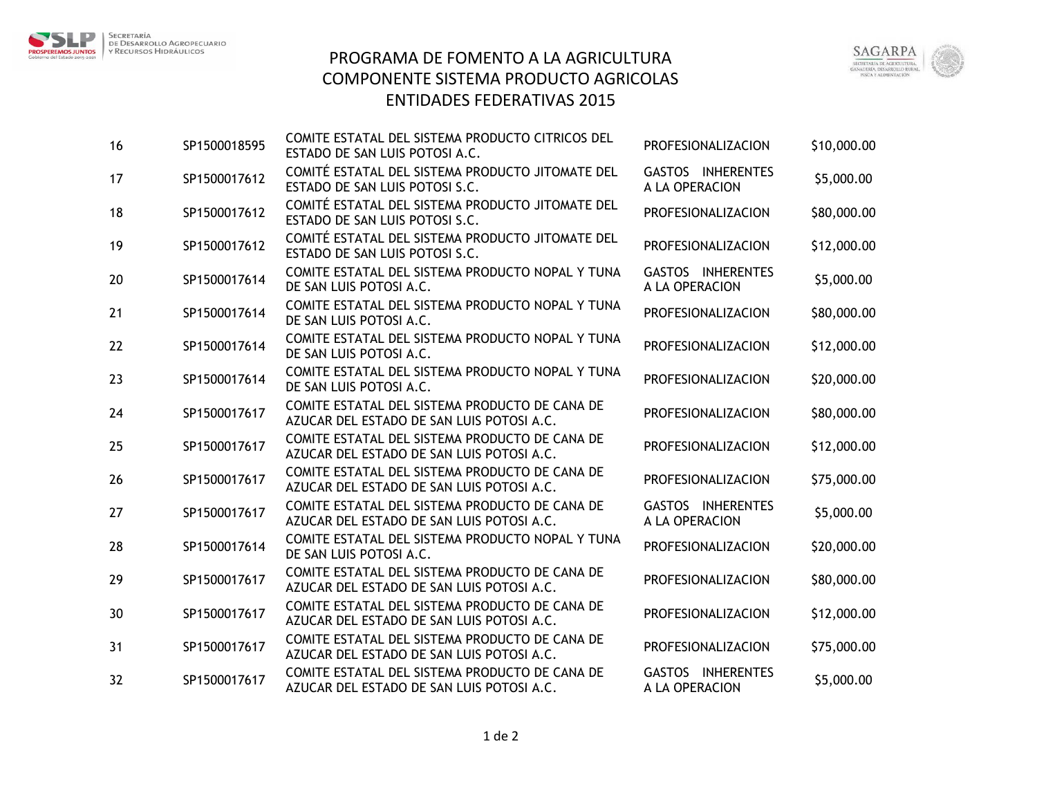





| 16 | SP1500018595 | COMITE ESTATAL DEL SISTEMA PRODUCTO CITRICOS DEL<br>ESTADO DE SAN LUIS POTOSI A.C.          | PROFESIONALIZACION                  | \$10,000.00 |
|----|--------------|---------------------------------------------------------------------------------------------|-------------------------------------|-------------|
| 17 | SP1500017612 | COMITÉ ESTATAL DEL SISTEMA PRODUCTO JITOMATE DEL<br>ESTADO DE SAN LUIS POTOSI S.C.          | GASTOS INHERENTES<br>A LA OPERACION | \$5,000.00  |
| 18 | SP1500017612 | COMITÉ ESTATAL DEL SISTEMA PRODUCTO JITOMATE DEL<br>ESTADO DE SAN LUIS POTOSI S.C.          | PROFESIONALIZACION                  | \$80,000.00 |
| 19 | SP1500017612 | COMITÉ ESTATAL DEL SISTEMA PRODUCTO JITOMATE DEL<br>ESTADO DE SAN LUIS POTOSI S.C.          | PROFESIONALIZACION                  | \$12,000.00 |
| 20 | SP1500017614 | COMITE ESTATAL DEL SISTEMA PRODUCTO NOPAL Y TUNA<br>DE SAN LUIS POTOSI A.C.                 | GASTOS INHERENTES<br>A LA OPERACION | \$5,000.00  |
| 21 | SP1500017614 | COMITE ESTATAL DEL SISTEMA PRODUCTO NOPAL Y TUNA<br>DE SAN LUIS POTOSI A.C.                 | PROFESIONALIZACION                  | \$80,000.00 |
| 22 | SP1500017614 | COMITE ESTATAL DEL SISTEMA PRODUCTO NOPAL Y TUNA<br>DE SAN LUIS POTOSI A.C.                 | PROFESIONALIZACION                  | \$12,000.00 |
| 23 | SP1500017614 | COMITE ESTATAL DEL SISTEMA PRODUCTO NOPAL Y TUNA<br>DE SAN LUIS POTOSI A.C.                 | PROFESIONALIZACION                  | \$20,000.00 |
| 24 | SP1500017617 | COMITE ESTATAL DEL SISTEMA PRODUCTO DE CANA DE<br>AZUCAR DEL ESTADO DE SAN LUIS POTOSI A.C. | PROFESIONALIZACION                  | \$80,000.00 |
| 25 | SP1500017617 | COMITE ESTATAL DEL SISTEMA PRODUCTO DE CANA DE<br>AZUCAR DEL ESTADO DE SAN LUIS POTOSI A.C. | PROFESIONALIZACION                  | \$12,000.00 |
| 26 | SP1500017617 | COMITE ESTATAL DEL SISTEMA PRODUCTO DE CANA DE<br>AZUCAR DEL ESTADO DE SAN LUIS POTOSI A.C. | PROFESIONALIZACION                  | \$75,000.00 |
| 27 | SP1500017617 | COMITE ESTATAL DEL SISTEMA PRODUCTO DE CANA DE<br>AZUCAR DEL ESTADO DE SAN LUIS POTOSI A.C. | GASTOS INHERENTES<br>A LA OPERACION | \$5,000.00  |
| 28 | SP1500017614 | COMITE ESTATAL DEL SISTEMA PRODUCTO NOPAL Y TUNA<br>DE SAN LUIS POTOSI A.C.                 | PROFESIONALIZACION                  | \$20,000.00 |
| 29 | SP1500017617 | COMITE ESTATAL DEL SISTEMA PRODUCTO DE CANA DE<br>AZUCAR DEL ESTADO DE SAN LUIS POTOSI A.C. | PROFESIONALIZACION                  | \$80,000.00 |
| 30 | SP1500017617 | COMITE ESTATAL DEL SISTEMA PRODUCTO DE CANA DE<br>AZUCAR DEL ESTADO DE SAN LUIS POTOSI A.C. | PROFESIONALIZACION                  | \$12,000.00 |
| 31 | SP1500017617 | COMITE ESTATAL DEL SISTEMA PRODUCTO DE CANA DE<br>AZUCAR DEL ESTADO DE SAN LUIS POTOSI A.C. | PROFESIONALIZACION                  | \$75,000.00 |
| 32 | SP1500017617 | COMITE ESTATAL DEL SISTEMA PRODUCTO DE CANA DE<br>AZUCAR DEL ESTADO DE SAN LUIS POTOSI A.C. | GASTOS INHERENTES<br>A LA OPERACION | \$5,000.00  |